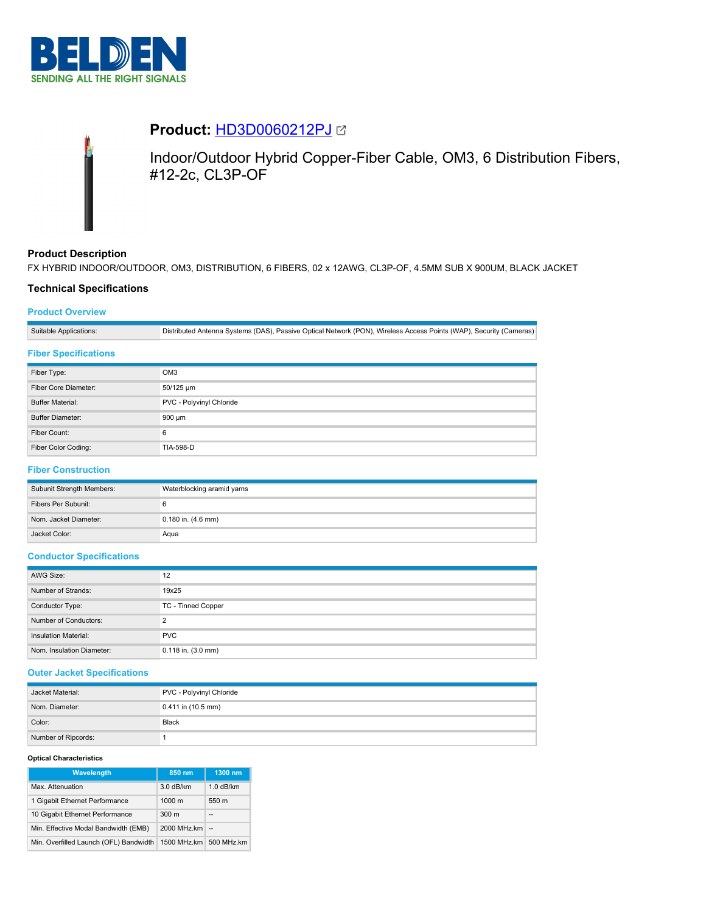



# **Product:** [HD3D0060212PJ](https://catalog.belden.com/index.cfm?event=pd&p=PF_HD3D0060212PJ&tab=downloads)

Indoor/Outdoor Hybrid Copper-Fiber Cable, OM3, 6 Distribution Fibers, #12-2c, CL3P-OF

# **Product Description**

FX HYBRID INDOOR/OUTDOOR, OM3, DISTRIBUTION, 6 FIBERS, 02 x 12AWG, CL3P-OF, 4.5MM SUB X 900UM, BLACK JACKET

# **Technical Specifications**

# **Product Overview**

Suitable Applications: Distributed Antenna Systems (DAS), Passive Optical Network (PON), Wireless Access Points (WAP), Security (Cameras)

# **Fiber Specifications**

| Fiber Type:             | OM <sub>3</sub>          |
|-------------------------|--------------------------|
| Fiber Core Diameter:    | 50/125 um                |
| <b>Buffer Material:</b> | PVC - Polyvinyl Chloride |
| <b>Buffer Diameter:</b> | 900 um                   |
| Fiber Count:            | 6                        |
| Fiber Color Coding:     | <b>TIA-598-D</b>         |

# **Fiber Construction**

| Subunit Strength Members: | Waterblocking aramid yarns |
|---------------------------|----------------------------|
| Fibers Per Subunit:       |                            |
| Nom. Jacket Diameter:     | $0.180$ in. $(4.6$ mm)     |
| Jacket Color:             | Aqua                       |

### **Conductor Specifications**

| AWG Size:                 | 12                     |
|---------------------------|------------------------|
| Number of Strands:        | 19x25                  |
| Conductor Type:           | TC - Tinned Copper     |
| Number of Conductors:     | C                      |
| Insulation Material:      | <b>PVC</b>             |
| Nom. Insulation Diameter: | $0.118$ in. $(3.0$ mm) |

## **Outer Jacket Specifications**

| Jacket Material:    | PVC - Polyvinyl Chloride |
|---------------------|--------------------------|
| Nom. Diameter:      | $0.411$ in (10.5 mm)     |
| Color:              | Black                    |
| Number of Ripcords: |                          |

### **Optical Characteristics**

| <b>Wavelength</b>                      | 850 nm           | 1300 nm     |
|----------------------------------------|------------------|-------------|
| Max. Attenuation                       | 3.0 dB/km        | $1.0$ dB/km |
| 1 Gigabit Ethernet Performance         | $1000 \text{ m}$ | 550 m       |
| 10 Gigabit Ethernet Performance        | 300 <sub>m</sub> | --          |
| Min. Effective Modal Bandwidth (EMB)   | 2000 MHz.km      | $\sim$      |
| Min. Overfilled Launch (OFL) Bandwidth | 1500 MHz.km      | 500 MHz.km  |